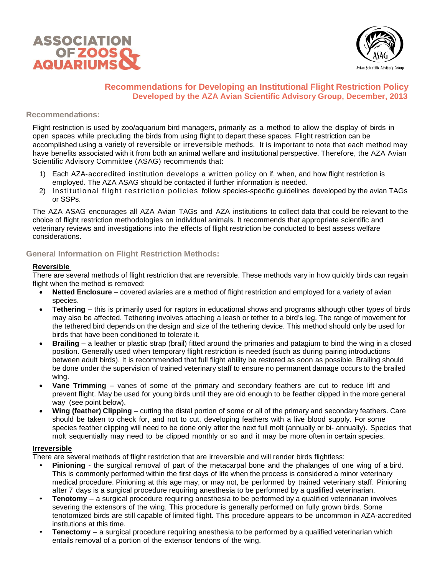



# **Recommendations for Developing an Institutional Flight Restriction Policy Developed by the AZA Avian Scientific Advisory Group, December, 2013**

### **Recommendations:**

Flight restriction is used by zoo/aquarium bird managers, primarily as a method to allow the display of birds in open spaces while precluding the birds from using flight to depart these spaces. Flight restriction can be accomplished using a variety of reversible or irreversible methods. It is important to note that each method may have benefits associated with it from both an animal welfare and institutional perspective. Therefore, the AZA Avian Scientific Advisory Committee (ASAG) recommends that:

- 1) Each AZA-accredited institution develops a written policy on if, when, and how flight restriction is employed. The AZA ASAG should be contacted if further information is needed.
- 2) Institutional flight restriction policies follow species-specific guidelines developed by the avian TAGs or SSPs.

The AZA ASAG encourages all AZA Avian TAGs and AZA institutions to collect data that could be relevant to the choice of flight restriction methodologies on individual animals. It recommends that appropriate scientific and veterinary reviews and investigations into the effects of flight restriction be conducted to best assess welfare considerations.

# **General Information on Flight Restriction Methods:**

### **Reversible**

There are several methods of flight restriction that are reversible. These methods vary in how quickly birds can regain flight when the method is removed:

- **Netted Enclosure** covered aviaries are a method of flight restriction and employed for a variety of avian species.
- **Tethering** this is primarily used for raptors in educational shows and programs although other types of birds may also be affected. Tethering involves attaching a leash or tether to a bird's leg. The range of movement for the tethered bird depends on the design and size of the tethering device. This method should only be used for birds that have been conditioned to tolerate it.
- **Brailing** a leather or plastic strap (brail) fitted around the primaries and patagium to bind the wing in a closed position. Generally used when temporary flight restriction is needed (such as during pairing introductions between adult birds). It is recommended that full flight ability be restored as soon as possible. Brailing should be done under the supervision of trained veterinary staff to ensure no permanent damage occurs to the brailed wing.
- **Vane Trimming** vanes of some of the primary and secondary feathers are cut to reduce lift and prevent flight. May be used for young birds until they are old enough to be feather clipped in the more general way (see point below).
- **Wing (feather) Clipping** cutting the distal portion of some or all of the primary and secondary feathers. Care should be taken to check for, and not to cut, developing feathers with a live blood supply. For some species feather clipping will need to be done only after the next full molt (annually or bi- annually). Species that molt sequentially may need to be clipped monthly or so and it may be more often in certain species.

#### **Irreversible**

There are several methods of flight restriction that are irreversible and will render birds flightless:

- **Pinioning** the surgical removal of part of the metacarpal bone and the phalanges of one wing of a bird. This is commonly performed within the first days of life when the process is considered a minor veterinary medical procedure. Pinioning at this age may, or may not, be performed by trained veterinary staff. Pinioning after 7 days is a surgical procedure requiring anesthesia to be performed by a qualified veterinarian.
- **Tenotomy** a surgical procedure requiring anesthesia to be performed by a qualified veterinarian involves severing the extensors of the wing. This procedure is generally performed on fully grown birds. Some tenotomized birds are still capable of limited flight. This procedure appears to be uncommon in AZA-accredited institutions at this time.
- **Tenectomy** a surgical procedure requiring anesthesia to be performed by a qualified veterinarian which entails removal of a portion of the extensor tendons of the wing.